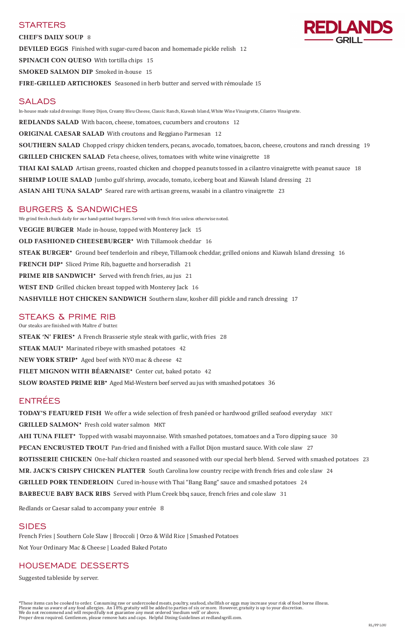### **STARTERS**



**CHEF'S DAILY SOUP** 8 **DEVILED EGGS** Finished with sugar-cured bacon and homemade pickle relish 12 **SPINACH CON QUESO** With tortilla chips 15 **SMOKED SALMON DIP** Smoked in-house 15 **FIRE-GRILLED ARTICHOKES** Seasoned in herb butter and served with rémoulade 15

## **SALADS**

In-house made salad dressings: Honey Dijon, Creamy Bleu Cheese, Classic Ranch, Kiawah Island, White Wine Vinaigrette, Cilantro Vinaigrette.

**REDLANDS SALAD** With bacon, cheese, tomatoes, cucumbers and croutons 12

**ORIGINAL CAESAR SALAD** With croutons and Reggiano Parmesan 12

**SOUTHERN SALAD** Chopped crispy chicken tenders, pecans, avocado, tomatoes, bacon, cheese, croutons and ranch dressing 19

**GRILLED CHICKEN SALAD** Feta cheese, olives, tomatoes with white wine vinaigrette 18

**THAI KAI SALAD** Artisan greens, roasted chicken and chopped peanuts tossed in a cilantro vinaigrette with peanut sauce 18

**SHRIMP LOUIE SALAD** Jumbo gulf shrimp, avocado, tomato, iceberg boat and Kiawah Island dressing 21

**ASIAN AHI TUNA SALAD\*** Seared rare with artisan greens, wasabi in a cilantro vinaigrette 23

## BURGERS & SANDWICHES

We grind fresh chuck daily for our hand-pattied burgers. Served with french fries unless otherwise noted. **VEGGIE BURGER** Made in-house, topped with Monterey Jack 15 **OLD FASHIONED CHEESEBURGER\*** With Tillamook cheddar 16 **STEAK BURGER\*** Ground beef tenderloin and ribeye, Tillamook cheddar, grilled onions and Kiawah Island dressing 16 **FRENCH DIP\*** Sliced Prime Rib, baguette and horseradish 21 **PRIME RIB SANDWICH\*** Served with french fries, au jus 21 **WEST END** Grilled chicken breast topped with Monterey Jack 16 **NASHVILLE HOT CHICKEN SANDWICH** Southern slaw, kosher dill pickle and ranch dressing 17

**TODAY'S FEATURED FISH** We offer a wide selection of fresh panéed or hardwood grilled seafood everyday MKT **GRILLED SALMON\*** Fresh cold water salmon MKT **AHI TUNA FILET\*** Topped with wasabi mayonnaise. With smashed potatoes, tomatoes and a Toro dipping sauce 30 **PECAN ENCRUSTED TROUT** Pan-fried and finished with a Fallot Dijon mustard sauce. With cole slaw 27 **ROTISSERIE CHICKEN** One-half chicken roasted and seasoned with our special herb blend. Served with smashed potatoes 23 **MR. JACK'S CRISPY CHICKEN PLATTER** South Carolina low country recipe with french fries and cole slaw 24 **GRILLED PORK TENDERLOIN** Cured in-house with Thai "Bang Bang" sauce and smashed potatoes 24 **BARBECUE BABY BACK RIBS** Served with Plum Creek bbq sauce, french fries and cole slaw 31

### STEAKS & PRIME RIB

Our steaks are finished with Maître d' butter. **STEAK 'N' FRIES\*** A French Brasserie style steak with garlic, with fries 28 **STEAK MAUI\*** Marinated ribeye with smashed potatoes 42 **NEW YORK STRIP\*** Aged beef with NYO mac & cheese 42 **FILET MIGNON WITH BÉARNAISE\*** Center cut, baked potato 42 **SLOW ROASTED PRIME RIB\*** Aged Mid-Western beef served au jus with smashed potatoes 36

## ENTRÉES

Redlands or Caesar salad to accompany your entrée 8

### SIDES

French Fries | Southern Cole Slaw | Broccoli | Orzo & Wild Rice | Smashed Potatoes

Not Your Ordinary Mac & Cheese | Loaded Baked Potato

## HOUSEMADE DESSERTS

Suggested tableside by server.

\*These items can be cooked to order. Consuming raw or undercooked meats, poultry, seafood, shellfish or eggs may increase your risk of food borne illness. Please make us aware of any food allergies. An 18% gratuity will be added to parties of six or more. However, gratuity is up to your discretion. We do not recommend and will respectfully not guarantee any meat ordered 'medium well' or above. Proper dress required. Gentlemen, please remove hats and caps. Helpful Dining Guidelines at redlandsgrill.com.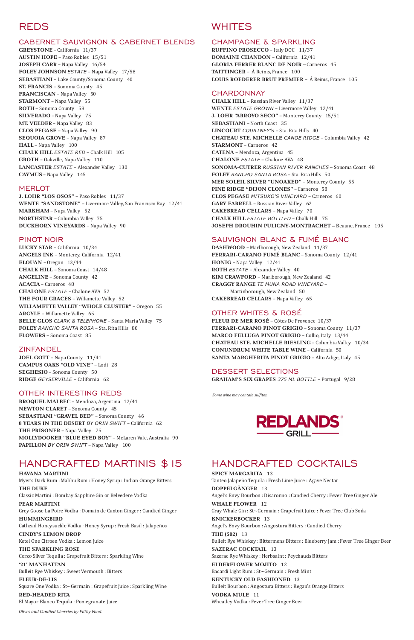# REDS

### CABERNET SAUVIGNON & CABERNET BLENDS

**GREYSTONE** – California 11/37 **AUSTIN HOPE** – Paso Robles 15/51 **JOSEPH CARR** – Napa Valley 16/54 **FOLEY JOHNSON** *ESTATE* – Napa Valley 17/58 **SEBASTIANI** – Lake County/Sonoma County40 **ST. FRANCIS** – Sonoma County 45 **FRANCISCAN** – Napa Valley 50 **STARMONT** – Napa Valley 55 **ROTH** – Sonoma County58 **SILVERADO** – Napa Valley 75 **MT. VEEDER** – Napa Valley 83 **CLOS PEGASE** – Napa Valley 90 **SEQUOIA GROVE** – Napa Valley 87 **HALL** – Napa Valley 100 **CHALK HILL** *ESTATE RED* – Chalk Hill 105 **GROTH** – Oakville, Napa Valley 110 **LANCASTER** *ESTATE* – Alexander Valley 130 **CAYMUS** – Napa Valley145

#### **MERLOT**

**J. LOHR "LOS OSOS"** – Paso Robles 11/37 **WENTE "SANDSTONE"** – Livermore Valley, San Francisco Bay 12/41 **MARKHAM** – Napa Valley52 **NORTHSTAR** – Columbia Valley 75 **DUCKHORN VINEYARDS** – Napa Valley 90

#### PINOT NOIR

**LUCKY STAR** – California 10/34 **ANGELS INK** – Monterey, California 12/41 **ELOUAN** – Oregon 13/44 **CHALK HILL** – Sonoma Coast 14/48 **ANGELINE** – Sonoma County 42 **ACACIA** – Carneros 48 **CHALONE** *ESTATE* – Chalone AVA 52 **THE FOUR GRACES** – Willamette Valley 52 **WILLAMETTE VALLEY "WHOLE CLUSTER"** – Oregon 55 **ARGYLE** – Willamette Valley 65 **BELLE GLOS** *CLARK & TELEPHONE* – Santa Maria Valley 75 **FOLEY** *RANCHO SANTA ROSA* – Sta. Rita Hills 80 **FLOWERS** – Sonoma Coast 85

### ZINFANDEL

**JOEL GOTT** – Napa County 11/41 **CAMPUS OAKS "OLD VINE"** – Lodi 28 **SEGHESIO** – Sonoma County 50 **RIDGE** *GEYSERVILLE* – California 62

### OTHER INTERESTING REDS

**BROQUEL MALBEC** – Mendoza, Argentina 12/41 **NEWTON CLARET** – Sonoma County 45 **SEBASTIANI "GRAVEL BED"** – Sonoma County46 **8 YEARS IN THE DESERT** *BY ORIN SWIFT* – California 62 **THE PRISONER** – Napa Valley75 **MOLLYDOOKER "BLUE EYED BOY"** – McLaren Vale, Australia 90 **PAPILLON** *BY ORIN SWIFT* – Napa Valley 100

## HANDCRAFTED MARTINIS \$15

## **WHITES**

#### **HAVANA MARTINI**

Myer's Dark Rum : Malibu Rum : Honey Syrup : Indian Orange Bitters

**THE DUKE** 

Classic Martini : Bombay Sapphire Gin or Belvedere Vodka

**PEAR MARTINI** Grey Goose La Poire Vodka : Domain de Canton Ginger : Candied Ginger

**HUMMINGBIRD** Cathead Honeysuckle Vodka : Honey Syrup : Fresh Basil : Jalapeños

**CINDY'S LEMON DROP** Ketel One Citroen Vodka : Lemon Juice

**THE SPARKLING ROSE** Corzo Silver Tequila : Grapefruit Bitters : Sparkling Wine

**'21' MANHATTAN** Bulleit Rye Whiskey : Sweet Vermouth : Bitters

**FLEUR-DE-LIS**  Square One Vodka : St~Germain : Grapefruit Juice : Sparkling Wine

**RED-HEADED RITA**  El Mayor Blanco Tequila : Pomegranate Juice

*Olives and Candied Cherries by Filthy Food.*

#### CHAMPAGNE & SPARKLING

**RUFFINO PROSECCO** – Italy DOC 11/37 **DOMAINE CHANDON** – California 12/41 **GLORIA FERRER BLANC DE NOIR –** Carneros 45 **TAITTINGER** – Á Reims, France 100 **LOUIS ROEDERER BRUT PREMIER** – Á Reims, France 105

#### **CHARDONNAY**

**CHALK HILL** – Russian River Valley 11/37 **WENTE** *ESTATE GROWN* – Livermore Valley 12/41 **J. LOHR "ARROYO SECO"** – Monterey County 15/51 **SEBASTIANI** – North Coast 35 **LINCOURT** *COURTNEY'S* – Sta. Rita Hills 40 **CHATEAU STE. MICHELLE** *CANOE RIDGE* – Columbia Valley 42 **STARMONT** – Carneros 42 **CATENA** – Mendoza, Argentina 45 **CHALONE** *ESTATE* – Chalone AVA 48 **SONOMA-CUTRER** *RUSSIAN RIVER RANCHES* **–** Sonoma Coast 48 **FOLEY** *RANCHO SANTA ROSA* – Sta. Rita Hills 50 **MER SOLEIL SILVER "UNOAKED"** – Monterey County 55 **PINE RIDGE "DIJON CLONES"** – Carneros 58 **CLOS PEGASE** *MITSUKO'S VINEYARD* – Carneros 60 **GARY FARRELL** – Russian River Valley 62 **CAKEBREAD CELLARS** – Napa Valley 70 **CHALK HILL** *ESTATE BOTTLED* – Chalk Hill75 **JOSEPH DROUHIN PULIGNY-MONTRACHET –** Beaune, France105

### SAUVIGNON BLANC & FUMÉ BLANC

**DASHWOOD** – Marlborough, New Zealand 11/37 **FERRARI-CARANO FUMÉ BLANC** – Sonoma County 12/41 **HONIG** – Napa Valley 12/41 **ROTH** *ESTATE* – Alexander Valley 40 **KIM CRAWFORD** – Marlborough, New Zealand 42 **CRAGGY RANGE** *TE MUNA ROAD VINEYARD* – Martinborough, New Zealand 50 **CAKEBREAD CELLARS** – Napa Valley 65

### OTHER WHITES & ROSÉ

**FLEUR DE MER ROSÉ** – Côtes De Provence 10/37 **FERRARI-CARANO PINOT GRIGIO** – Sonoma County 11/37 **MARCO FELLUGA PINOT GRIGIO** – Collio, Italy 13/44 **CHATEAU STE. MICHELLE RIESLING** – Columbia Valley 10/34 **CONUNDRUM WHITE TABLE WINE** – California 50 **SANTA MARGHERITA PINOT GRIGIO** – Alto Adige, Italy 45

### DESSERT SELECTIONS

**GRAHAM'S SIX GRAPES** *375 ML BOTTLE* – Portugal 9/28

 *Some wine may contain sulfites.* 



# HANDCRAFTED COCKTAILS

**SPICY MARGARITA** 13 Tanteo Jalapeño Tequila : Fresh Lime Juice : Agave Nectar **DOPPELGÄNGER** 13 Angel's Envy Bourbon : Disaronno : Candied Cherry : Fever Tree Ginger Ale **WHALE FLOWER** 12 Gray Whale Gin : St~Germain : Grapefruit Juice : Fever Tree Club Soda **KNICKERBOCKER** 13 Angel's Envy Bourbon : Angostura Bitters : Candied Cherry **THE (502)** 13 Bulleit Rye Whiskey : Bittermens Bitters : Blueberry Jam : Fever Tree Ginger Beer **SAZERAC COCKTAIL** 13 Sazerac Rye Whiskey : Herbsaint : Peychauds Bitters **ELDERFLOWER MOJITO** 12 Bacardi Light Rum : St~Germain : Fresh Mint **KENTUCKY OLD FASHIONED** 13 Bulleit Bourbon : Angostura Bitters : Regan's Orange Bitters **VODKA MULE** 11 Wheatley Vodka : Fever Tree Ginger Beer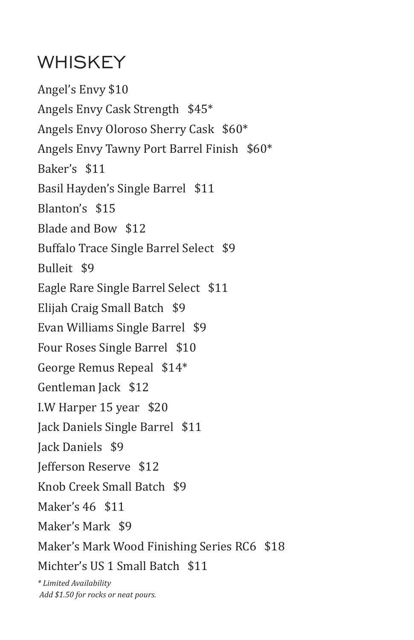## WHISKEY

Angel's Envy \$10 Angels Envy Cask Strength \$45\* Angels Envy Oloroso Sherry Cask \$60\* Angels Envy Tawny Port Barrel Finish \$60\* Baker's \$11 Basil Hayden's Single Barrel \$11 Blanton's \$15 Blade and Bow \$12 Buffalo Trace Single Barrel Select \$9 Bulleit \$9 Eagle Rare Single Barrel Select \$11 Elijah Craig Small Batch \$9 Evan Williams Single Barrel \$9 Four Roses Single Barrel \$10 George Remus Repeal \$14\* Gentleman Jack \$12 I.W Harper 15 year \$20 Jack Daniels Single Barrel \$11 Jack Daniels \$9 Jefferson Reserve \$12 Knob Creek Small Batch \$9 Maker's 46 \$11 Maker's Mark \$9 Maker's Mark Wood Finishing Series RC6 \$18 Michter's US 1 Small Batch \$11 *\* Limited Availability* 

 *Add \$1.50 for rocks or neat pours.*